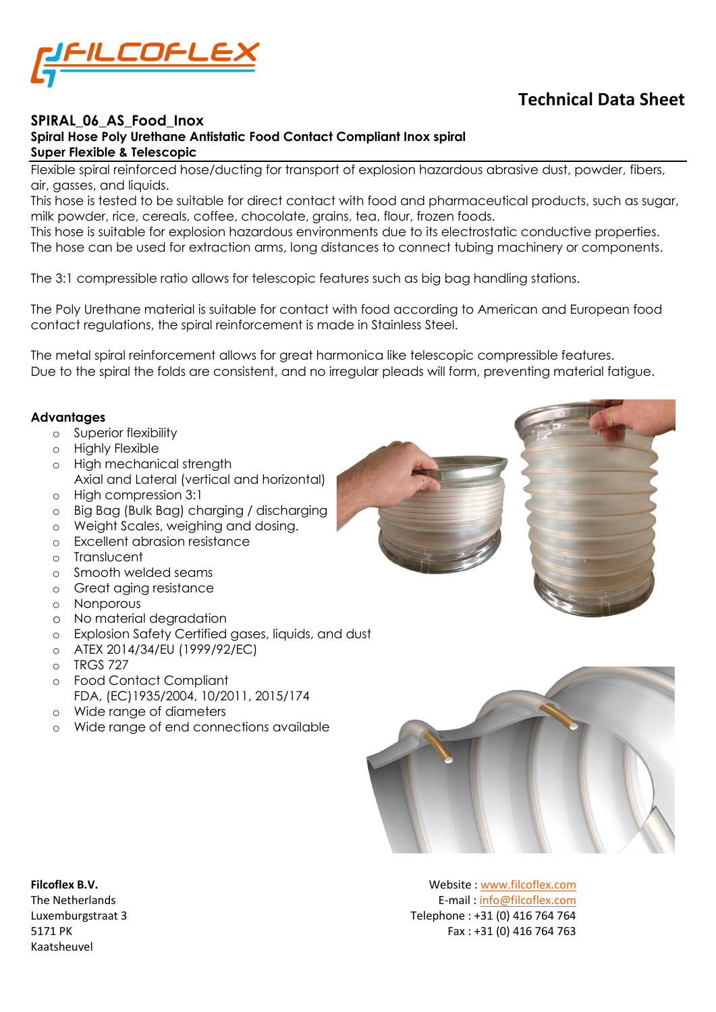

## **Technical Data Sheet**

## **SPIRAL\_06\_AS\_Food\_Inox Spiral Hose Poly Urethane Antistatic Food Contact Compliant Inox spiral Super Flexible & Telescopic**

Flexible spiral reinforced hose/ducting for transport of explosion hazardous abrasive dust, powder, fibers, air, gasses, and liquids.

This hose is tested to be suitable for direct contact with food and pharmaceutical products, such as sugar, milk powder, rice, cereals, coffee, chocolate, grains, tea, flour, frozen foods.

This hose is suitable for explosion hazardous environments due to its electrostatic conductive properties. The hose can be used for extraction arms, long distances to connect tubing machinery or components.

The 3:1 compressible ratio allows for telescopic features such as big bag handling stations.

The Poly Urethane material is suitable for contact with food according to American and European food contact regulations, the spiral reinforcement is made in Stainless Steel.

The metal spiral reinforcement allows for great harmonica like telescopic compressible features. Due to the spiral the folds are consistent, and no irregular pleads will form, preventing material fatigue.

### **Advantages**

- o Superior flexibility
- o Highly Flexible
- o High mechanical strength Axial and Lateral (vertical and horizontal)
- o High compression 3:1
- o Big Bag (Bulk Bag) charging / discharging
- o Weight Scales, weighing and dosing.
- o Excellent abrasion resistance
- o Translucent
- o Smooth welded seams
- o Great aging resistance
- o Nonporous
- o No material degradation
- o Explosion Safety Certified gases, liquids, and dust
- o ATEX 2014/34/EU (1999/92/EC)
- $O$  TRGS 727
- o Food Contact Compliant FDA, (EC)1935/2004, 10/2011, 2015/174
- o Wide range of diameters
- o Wide range of end connections available



Kaatsheuvel

**Filcoflex B.V.** Website [: www.filcoflex.com](file://///flcfps01/data/Folders%20brochures%20en%20Documentatie/_Materiaal%20specificaties/PU/PU-UF_03-07-1-15/Originele%20documenten/www.filcoflex.com) The Netherlands E-mail [: info@filcoflex.com](mailto:info@filcoflex.com?subject=Contact%20through%20Datasheet%20forms) Luxemburgstraat 3 Telephone : +31 (0) 416 764 764 5171 PK Fax : +31 (0) 416 764 763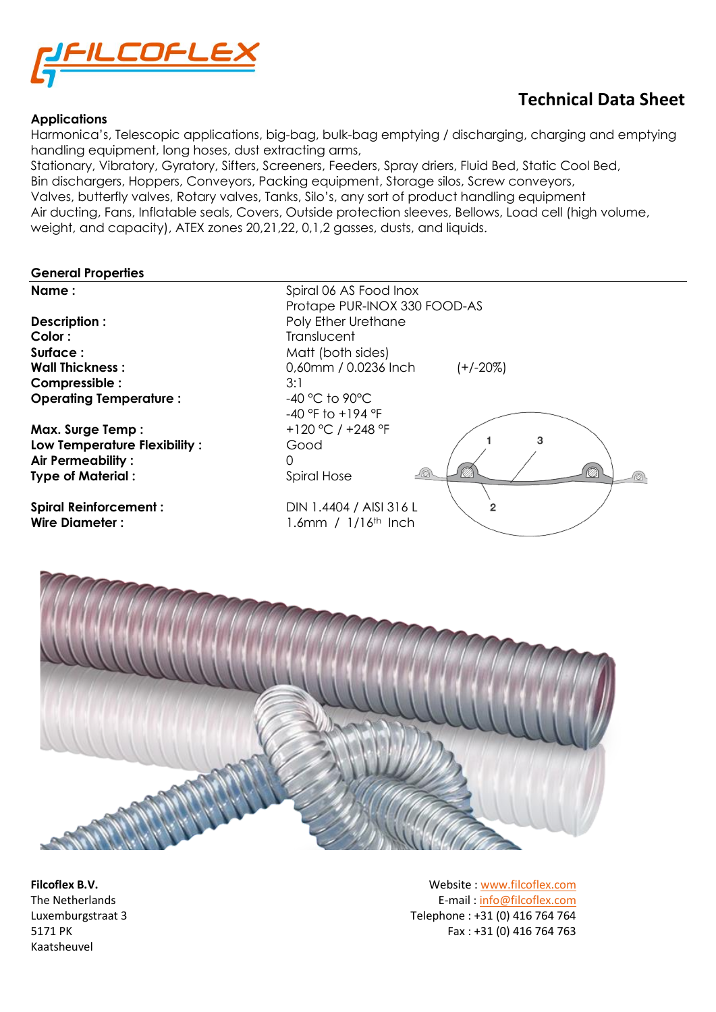

### **Applications**

## **Technical Data Sheet**

Harmonica's, Telescopic applications, big-bag, bulk-bag emptying / discharging, charging and emptying handling equipment, long hoses, dust extracting arms,

Stationary, Vibratory, Gyratory, Sifters, Screeners, Feeders, Spray driers, Fluid Bed, Static Cool Bed, Bin dischargers, Hoppers, Conveyors, Packing equipment, Storage silos, Screw conveyors, Valves, butterfly valves, Rotary valves, Tanks, Silo's, any sort of product handling equipment Air ducting, Fans, Inflatable seals, Covers, Outside protection sleeves, Bellows, Load cell (high volume, weight, and capacity), ATEX zones 20,21,22, 0,1,2 gasses, dusts, and liquids.

#### **General Properties**



Kaatsheuvel

**Filcoflex B.V.** Website [: www.filcoflex.com](file://///flcfps01/data/Folders%20brochures%20en%20Documentatie/_Materiaal%20specificaties/PU/PU-UF_03-07-1-15/Originele%20documenten/www.filcoflex.com) The Netherlands E-mail [: info@filcoflex.com](mailto:info@filcoflex.com?subject=Contact%20through%20Datasheet%20forms) Luxemburgstraat 3 Telephone : +31 (0) 416 764 764 5171 PK Fax : +31 (0) 416 764 763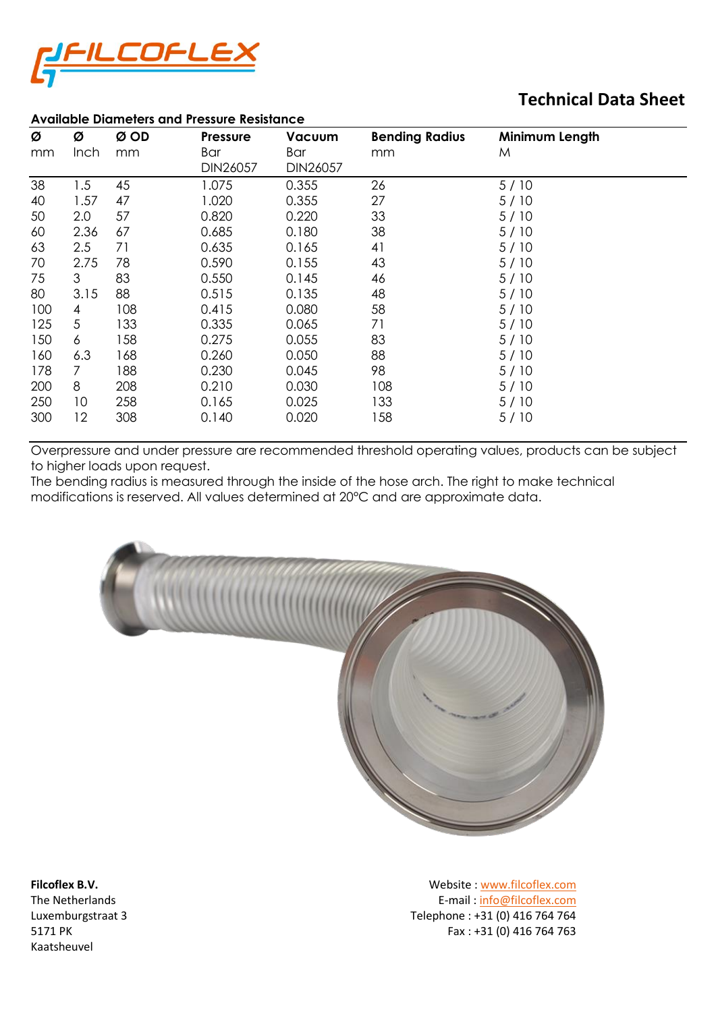

## **Technical Data Sheet**

| <b>Available Diameters and Pressure Resistance</b> |             |      |                 |          |                       |                |
|----------------------------------------------------|-------------|------|-----------------|----------|-----------------------|----------------|
| Ø                                                  | Ø           | Ø OD | <b>Pressure</b> | Vacuum   | <b>Bending Radius</b> | Minimum Length |
| mm                                                 | <b>Inch</b> | mm   | Bar             | Bar      | mm                    | M              |
|                                                    |             |      | DIN26057        | DIN26057 |                       |                |
| 38                                                 | 1.5         | 45   | 1.075           | 0.355    | 26                    | 5/10           |
| 40                                                 | 1.57        | 47   | 1.020           | 0.355    | 27                    | 5/10           |
| 50                                                 | 2.0         | 57   | 0.820           | 0.220    | 33                    | 5/10           |
| 60                                                 | 2.36        | 67   | 0.685           | 0.180    | 38                    | 5/10           |
| 63                                                 | 2.5         | 71   | 0.635           | 0.165    | 41                    | 5/10           |
| 70                                                 | 2.75        | 78   | 0.590           | 0.155    | 43                    | 5/10           |
| 75                                                 | 3           | 83   | 0.550           | 0.145    | 46                    | 5/10           |
| 80                                                 | 3.15        | 88   | 0.515           | 0.135    | 48                    | 5/10           |
| 100                                                | 4           | 108  | 0.415           | 0.080    | 58                    | 5/10           |
| 125                                                | 5           | 133  | 0.335           | 0.065    | 71                    | 5/10           |
| 150                                                | 6           | 158  | 0.275           | 0.055    | 83                    | 5/10           |
| 160                                                | 6.3         | 168  | 0.260           | 0.050    | 88                    | 5/10           |
| 178                                                | 7           | 188  | 0.230           | 0.045    | 98                    | 5/10           |
| 200                                                | 8           | 208  | 0.210           | 0.030    | 108                   | 5/10           |
| 250                                                | 10          | 258  | 0.165           | 0.025    | 133                   | 5/10           |
| 300                                                | 12          | 308  | 0.140           | 0.020    | 158                   | 5/10           |

Overpressure and under pressure are recommended threshold operating values, products can be subject to higher loads upon request.

The bending radius is measured through the inside of the hose arch. The right to make technical modifications is reserved. All values determined at 20°C and are approximate data.



Kaatsheuvel

**Filcoflex B.V.** Website [: www.filcoflex.com](file://///flcfps01/data/Folders%20brochures%20en%20Documentatie/_Materiaal%20specificaties/PU/PU-UF_03-07-1-15/Originele%20documenten/www.filcoflex.com) The Netherlands E-mail [: info@filcoflex.com](mailto:info@filcoflex.com?subject=Contact%20through%20Datasheet%20forms) Luxemburgstraat 3 Telephone : +31 (0) 416 764 764 5171 PK Fax : +31 (0) 416 764 763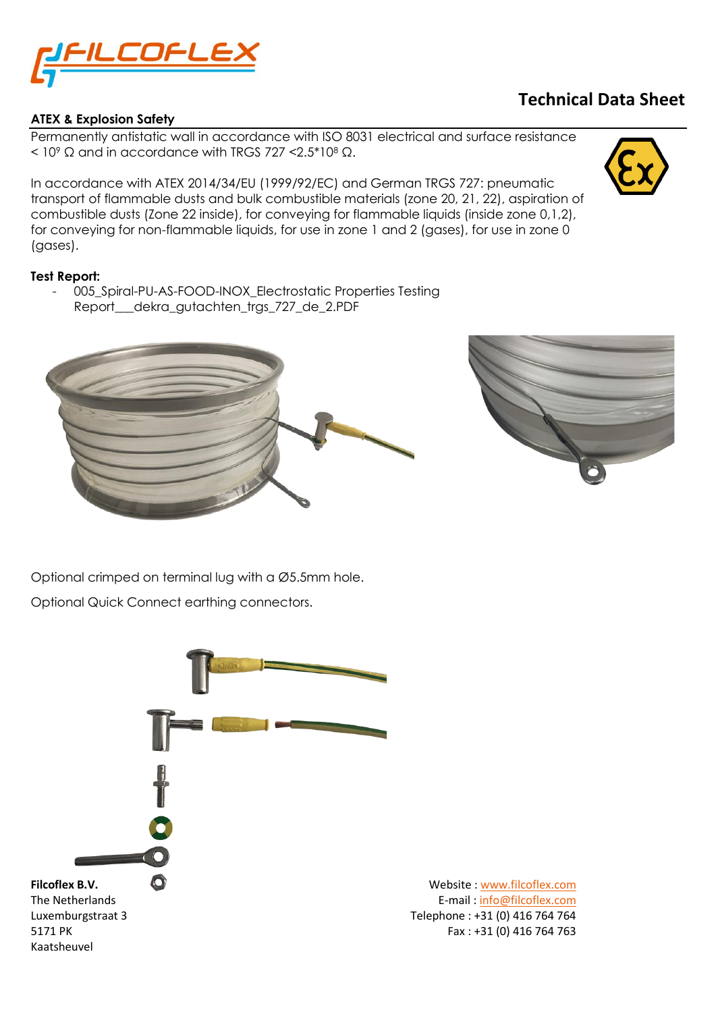

## **ATEX & Explosion Safety**

## **Technical Data Sheet**

Permanently antistatic wall in accordance with ISO 8031 electrical and surface resistance  $<$  10<sup>9</sup> Ω and in accordance with TRGS 727 < 2.5\*10<sup>8</sup> Ω.

In accordance with ATEX 2014/34/EU (1999/92/EC) and German TRGS 727: pneumatic transport of flammable dusts and bulk combustible materials (zone 20, 21, 22), aspiration of combustible dusts (Zone 22 inside), for conveying for flammable liquids (inside zone 0,1,2), for conveying for non-flammable liquids, for use in zone 1 and 2 (gases), for use in zone 0 (gases).

## **Test Report:**

- 005\_Spiral-PU-AS-FOOD-INOX\_Electrostatic Properties Testing Report\_\_\_dekra\_gutachten\_trgs\_727\_de\_2.PDF





Optional crimped on terminal lug with a Ø5.5mm hole.

Optional Quick Connect earthing connectors.

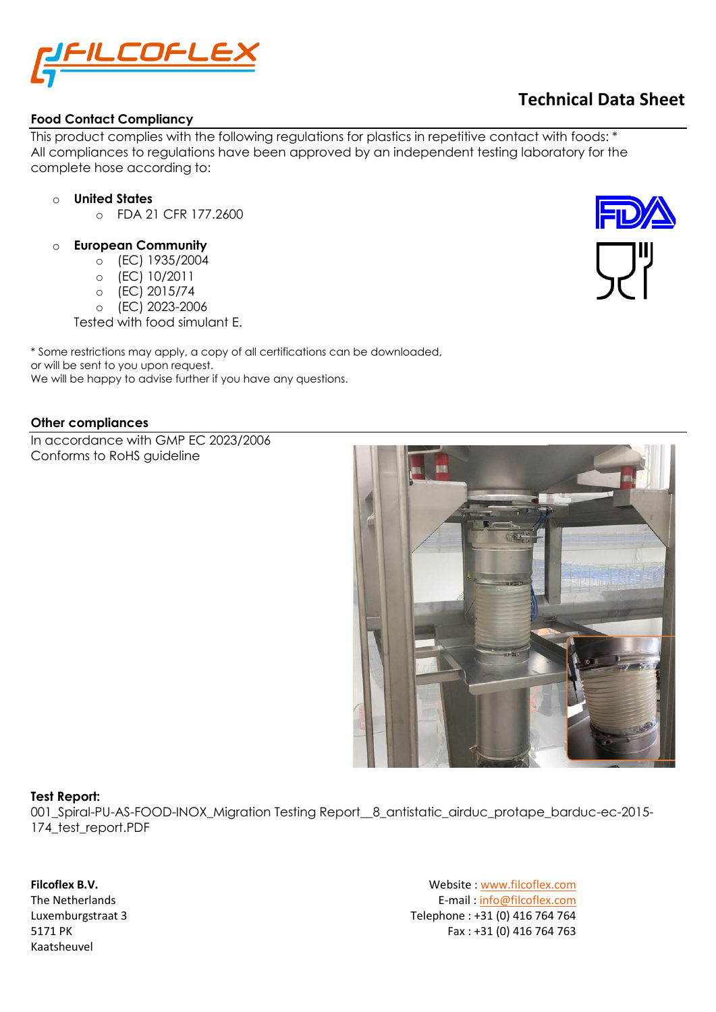

## **Food Contact Compliancy**

This product complies with the following regulations for plastics in repetitive contact with foods: \* All compliances to regulations have been approved by an independent testing laboratory for the complete hose according to:

## o **United States**

- o FDA 21 CFR 177.2600
- o **European Community**
	- o (EC) 1935/2004
	- o (EC) 10/2011
	- o (EC) 2015/74
	- o (EC) 2023-2006

Tested with food simulant E.

\* Some restrictions may apply, a copy of all certifications can be downloaded, or will be sent to you upon request. We will be happy to advise further if you have any questions.

## **Other compliances**

In accordance with GMP EC 2023/2006 Conforms to RoHS guideline



## **Test Report:**

001\_Spiral-PU-AS-FOOD-INOX\_Migration Testing Report\_\_8\_antistatic\_airduc\_protape\_barduc-ec-2015- 174 test report.PDF

Kaatsheuvel

**Filcoflex B.V.** Website [: www.filcoflex.com](file://///flcfps01/data/Folders%20brochures%20en%20Documentatie/_Materiaal%20specificaties/PU/PU-UF_03-07-1-15/Originele%20documenten/www.filcoflex.com) The Netherlands<br>
Luxemburgstraat 3 E-mail [: info@filcoflex.com](mailto:info@filcoflex.com?subject=Contact%20through%20Datasheet%20forms)<br>
Telephone : +31 (0) 416 764 764 Telephone : +31 (0) 416 764 764 5171 PK Fax : +31 (0) 416 764 763

# **Technical Data Sheet**